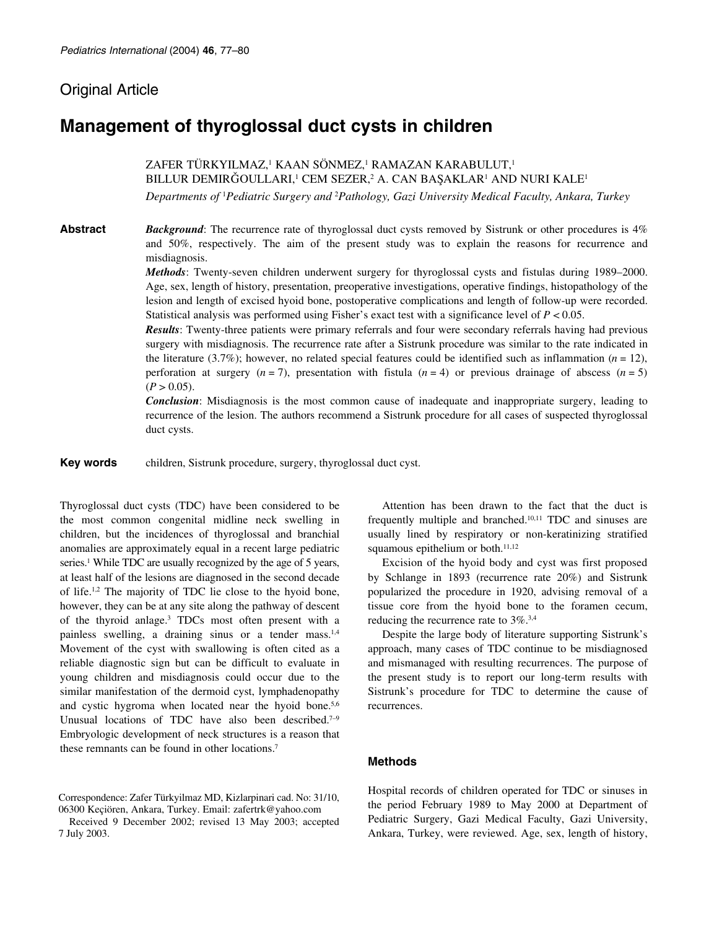# Original Article

# **Management of thyroglossal duct cysts in children**

ZAFER TÜRKYILMAZ,<sup>1</sup> KAAN SÖNMEZ,<sup>1</sup> RAMAZAN KARABULUT,<sup>1</sup> BILLUR DEMIRGOULLARI,<sup>1</sup> CEM SEZER,<sup>2</sup> A. CAN BASAKLAR<sup>1</sup> AND NURI KALE<sup>1</sup> *Departments of* 1*Pediatric Surgery and* <sup>2</sup> *Pathology, Gazi University Medical Faculty, Ankara, Turkey*

**Abstract** *Background*: The recurrence rate of thyroglossal duct cysts removed by Sistrunk or other procedures is 4% and 50%, respectively. The aim of the present study was to explain the reasons for recurrence and misdiagnosis.

> *Methods*: Twenty-seven children underwent surgery for thyroglossal cysts and fistulas during 1989–2000. Age, sex, length of history, presentation, preoperative investigations, operative findings, histopathology of the lesion and length of excised hyoid bone, postoperative complications and length of follow-up were recorded. Statistical analysis was performed using Fisher's exact test with a significance level of *P* < 0.05.

> *Results*: Twenty-three patients were primary referrals and four were secondary referrals having had previous surgery with misdiagnosis. The recurrence rate after a Sistrunk procedure was similar to the rate indicated in the literature (3.7%); however, no related special features could be identified such as inflammation  $(n = 12)$ , perforation at surgery  $(n = 7)$ , presentation with fistula  $(n = 4)$  or previous drainage of abscess  $(n = 5)$  $(P > 0.05)$ .

> *Conclusion*: Misdiagnosis is the most common cause of inadequate and inappropriate surgery, leading to recurrence of the lesion. The authors recommend a Sistrunk procedure for all cases of suspected thyroglossal duct cysts.

**Key words** children, Sistrunk procedure, surgery, thyroglossal duct cyst.

Thyroglossal duct cysts (TDC) have been considered to be the most common congenital midline neck swelling in children, but the incidences of thyroglossal and branchial anomalies are approximately equal in a recent large pediatric series.<sup>1</sup> While TDC are usually recognized by the age of 5 years, at least half of the lesions are diagnosed in the second decade of life.1,2 The majority of TDC lie close to the hyoid bone, however, they can be at any site along the pathway of descent of the thyroid anlage.3 TDCs most often present with a painless swelling, a draining sinus or a tender mass.<sup>1,4</sup> Movement of the cyst with swallowing is often cited as a reliable diagnostic sign but can be difficult to evaluate in young children and misdiagnosis could occur due to the similar manifestation of the dermoid cyst, lymphadenopathy and cystic hygroma when located near the hyoid bone.<sup>5,6</sup> Unusual locations of TDC have also been described.<sup>7-9</sup> Embryologic development of neck structures is a reason that these remnants can be found in other locations.7

Correspondence: Zafer Türkyilmaz MD, Kizlarpinari cad. No: 31/10, 06300 Keçiören, Ankara, Turkey. Email: zafertrk@yahoo.com

Received 9 December 2002; revised 13 May 2003; accepted 7 July 2003.

Attention has been drawn to the fact that the duct is frequently multiple and branched.10,11 TDC and sinuses are usually lined by respiratory or non-keratinizing stratified squamous epithelium or both.<sup>11,12</sup>

Excision of the hyoid body and cyst was first proposed by Schlange in 1893 (recurrence rate 20%) and Sistrunk popularized the procedure in 1920, advising removal of a tissue core from the hyoid bone to the foramen cecum, reducing the recurrence rate to  $3\%$ <sup>3,4</sup>

Despite the large body of literature supporting Sistrunk's approach, many cases of TDC continue to be misdiagnosed and mismanaged with resulting recurrences. The purpose of the present study is to report our long-term results with Sistrunk's procedure for TDC to determine the cause of recurrences.

## **Methods**

Hospital records of children operated for TDC or sinuses in the period February 1989 to May 2000 at Department of Pediatric Surgery, Gazi Medical Faculty, Gazi University, Ankara, Turkey, were reviewed. Age, sex, length of history,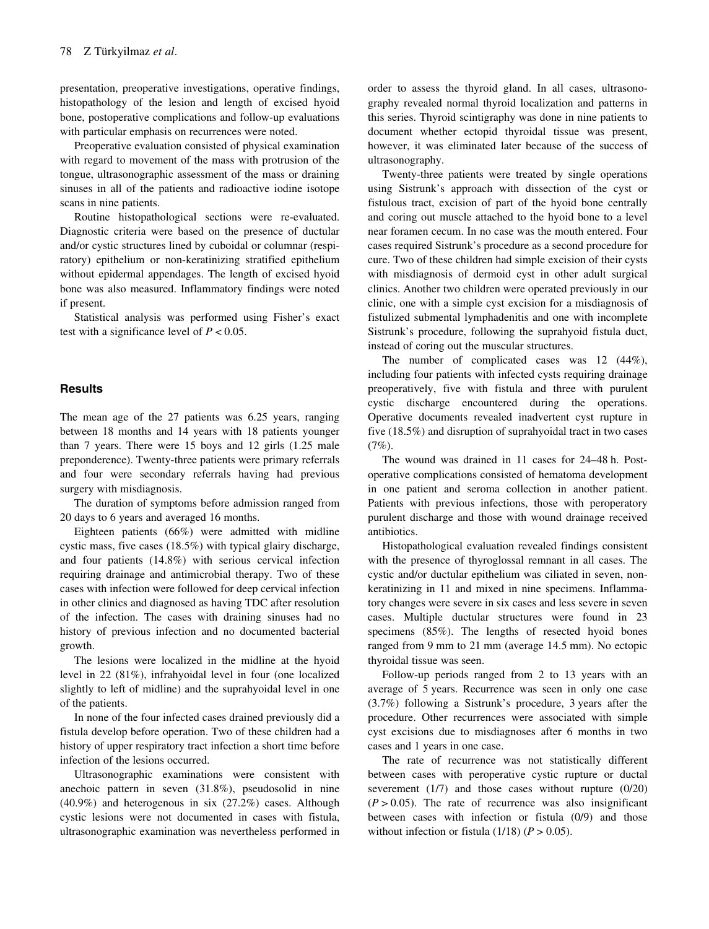presentation, preoperative investigations, operative findings, histopathology of the lesion and length of excised hyoid bone, postoperative complications and follow-up evaluations with particular emphasis on recurrences were noted.

Preoperative evaluation consisted of physical examination with regard to movement of the mass with protrusion of the tongue, ultrasonographic assessment of the mass or draining sinuses in all of the patients and radioactive iodine isotope scans in nine patients.

Routine histopathological sections were re-evaluated. Diagnostic criteria were based on the presence of ductular and/or cystic structures lined by cuboidal or columnar (respiratory) epithelium or non-keratinizing stratified epithelium without epidermal appendages. The length of excised hyoid bone was also measured. Inflammatory findings were noted if present.

Statistical analysis was performed using Fisher's exact test with a significance level of  $P < 0.05$ .

#### **Results**

The mean age of the 27 patients was 6.25 years, ranging between 18 months and 14 years with 18 patients younger than 7 years. There were 15 boys and 12 girls (1.25 male preponderence). Twenty-three patients were primary referrals and four were secondary referrals having had previous surgery with misdiagnosis.

The duration of symptoms before admission ranged from 20 days to 6 years and averaged 16 months.

Eighteen patients (66%) were admitted with midline cystic mass, five cases (18.5%) with typical glairy discharge, and four patients (14.8%) with serious cervical infection requiring drainage and antimicrobial therapy. Two of these cases with infection were followed for deep cervical infection in other clinics and diagnosed as having TDC after resolution of the infection. The cases with draining sinuses had no history of previous infection and no documented bacterial growth.

The lesions were localized in the midline at the hyoid level in 22 (81%), infrahyoidal level in four (one localized slightly to left of midline) and the suprahyoidal level in one of the patients.

In none of the four infected cases drained previously did a fistula develop before operation. Two of these children had a history of upper respiratory tract infection a short time before infection of the lesions occurred.

Ultrasonographic examinations were consistent with anechoic pattern in seven (31.8%), pseudosolid in nine (40.9%) and heterogenous in six (27.2%) cases. Although cystic lesions were not documented in cases with fistula, ultrasonographic examination was nevertheless performed in order to assess the thyroid gland. In all cases, ultrasonography revealed normal thyroid localization and patterns in this series. Thyroid scintigraphy was done in nine patients to document whether ectopid thyroidal tissue was present, however, it was eliminated later because of the success of ultrasonography.

Twenty-three patients were treated by single operations using Sistrunk's approach with dissection of the cyst or fistulous tract, excision of part of the hyoid bone centrally and coring out muscle attached to the hyoid bone to a level near foramen cecum. In no case was the mouth entered. Four cases required Sistrunk's procedure as a second procedure for cure. Two of these children had simple excision of their cysts with misdiagnosis of dermoid cyst in other adult surgical clinics. Another two children were operated previously in our clinic, one with a simple cyst excision for a misdiagnosis of fistulized submental lymphadenitis and one with incomplete Sistrunk's procedure, following the suprahyoid fistula duct, instead of coring out the muscular structures.

The number of complicated cases was 12 (44%), including four patients with infected cysts requiring drainage preoperatively, five with fistula and three with purulent cystic discharge encountered during the operations. Operative documents revealed inadvertent cyst rupture in five (18.5%) and disruption of suprahyoidal tract in two cases (7%).

The wound was drained in 11 cases for 24–48 h. Postoperative complications consisted of hematoma development in one patient and seroma collection in another patient. Patients with previous infections, those with peroperatory purulent discharge and those with wound drainage received antibiotics.

Histopathological evaluation revealed findings consistent with the presence of thyroglossal remnant in all cases. The cystic and/or ductular epithelium was ciliated in seven, nonkeratinizing in 11 and mixed in nine specimens. Inflammatory changes were severe in six cases and less severe in seven cases. Multiple ductular structures were found in 23 specimens (85%). The lengths of resected hyoid bones ranged from 9 mm to 21 mm (average 14.5 mm). No ectopic thyroidal tissue was seen.

Follow-up periods ranged from 2 to 13 years with an average of 5 years. Recurrence was seen in only one case (3.7%) following a Sistrunk's procedure, 3 years after the procedure. Other recurrences were associated with simple cyst excisions due to misdiagnoses after 6 months in two cases and 1 years in one case.

The rate of recurrence was not statistically different between cases with peroperative cystic rupture or ductal severement  $(1/7)$  and those cases without rupture  $(0/20)$  $(P > 0.05)$ . The rate of recurrence was also insignificant between cases with infection or fistula (0/9) and those without infection or fistula  $(1/18)$   $(P > 0.05)$ .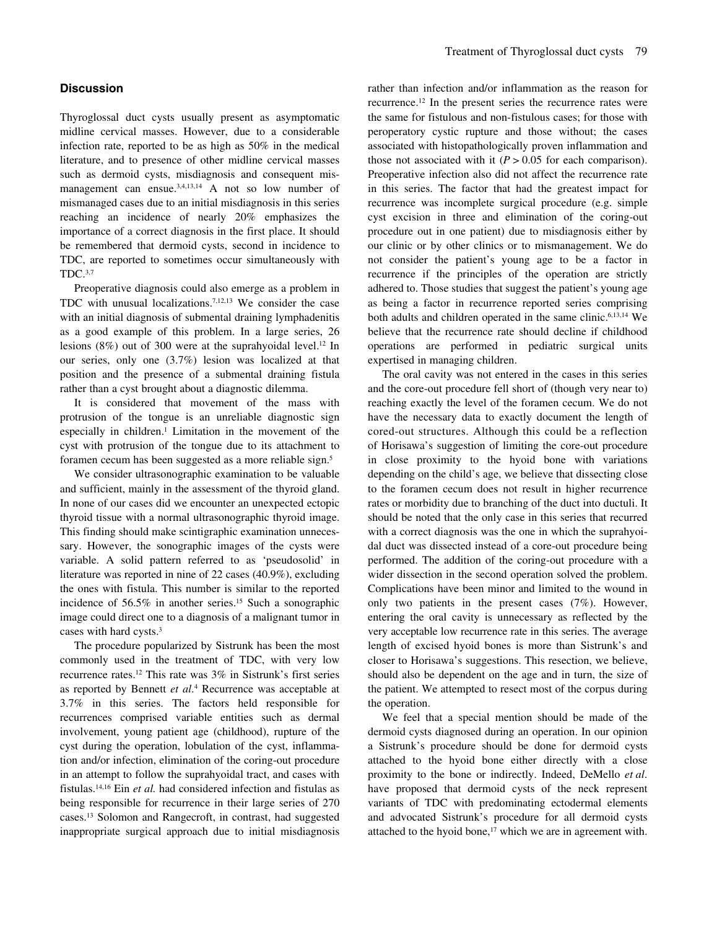## **Discussion**

Thyroglossal duct cysts usually present as asymptomatic midline cervical masses. However, due to a considerable infection rate, reported to be as high as 50% in the medical literature, and to presence of other midline cervical masses such as dermoid cysts, misdiagnosis and consequent mismanagement can ensue.3,4,13,14 A not so low number of mismanaged cases due to an initial misdiagnosis in this series reaching an incidence of nearly 20% emphasizes the importance of a correct diagnosis in the first place. It should be remembered that dermoid cysts, second in incidence to TDC, are reported to sometimes occur simultaneously with TDC.3,7

Preoperative diagnosis could also emerge as a problem in TDC with unusual localizations.7,12,13 We consider the case with an initial diagnosis of submental draining lymphadenitis as a good example of this problem. In a large series, 26 lesions (8%) out of 300 were at the suprahyoidal level.12 In our series, only one (3.7%) lesion was localized at that position and the presence of a submental draining fistula rather than a cyst brought about a diagnostic dilemma.

It is considered that movement of the mass with protrusion of the tongue is an unreliable diagnostic sign especially in children.<sup>1</sup> Limitation in the movement of the cyst with protrusion of the tongue due to its attachment to foramen cecum has been suggested as a more reliable sign.5

We consider ultrasonographic examination to be valuable and sufficient, mainly in the assessment of the thyroid gland. In none of our cases did we encounter an unexpected ectopic thyroid tissue with a normal ultrasonographic thyroid image. This finding should make scintigraphic examination unnecessary. However, the sonographic images of the cysts were variable. A solid pattern referred to as 'pseudosolid' in literature was reported in nine of 22 cases (40.9%), excluding the ones with fistula. This number is similar to the reported incidence of 56.5% in another series.15 Such a sonographic image could direct one to a diagnosis of a malignant tumor in cases with hard cysts.3

The procedure popularized by Sistrunk has been the most commonly used in the treatment of TDC, with very low recurrence rates.12 This rate was 3% in Sistrunk's first series as reported by Bennett *et al*. 4 Recurrence was acceptable at 3.7% in this series. The factors held responsible for recurrences comprised variable entities such as dermal involvement, young patient age (childhood), rupture of the cyst during the operation, lobulation of the cyst, inflammation and/or infection, elimination of the coring-out procedure in an attempt to follow the suprahyoidal tract, and cases with fistulas.14,16 Ein *et al.* had considered infection and fistulas as being responsible for recurrence in their large series of 270 cases.13 Solomon and Rangecroft, in contrast, had suggested inappropriate surgical approach due to initial misdiagnosis

rather than infection and/or inflammation as the reason for recurrence.12 In the present series the recurrence rates were the same for fistulous and non-fistulous cases; for those with peroperatory cystic rupture and those without; the cases associated with histopathologically proven inflammation and those not associated with it  $(P > 0.05$  for each comparison). Preoperative infection also did not affect the recurrence rate in this series. The factor that had the greatest impact for recurrence was incomplete surgical procedure (e.g. simple cyst excision in three and elimination of the coring-out procedure out in one patient) due to misdiagnosis either by our clinic or by other clinics or to mismanagement. We do not consider the patient's young age to be a factor in recurrence if the principles of the operation are strictly adhered to. Those studies that suggest the patient's young age as being a factor in recurrence reported series comprising both adults and children operated in the same clinic.<sup>6,13,14</sup> We believe that the recurrence rate should decline if childhood operations are performed in pediatric surgical units expertised in managing children.

The oral cavity was not entered in the cases in this series and the core-out procedure fell short of (though very near to) reaching exactly the level of the foramen cecum. We do not have the necessary data to exactly document the length of cored-out structures. Although this could be a reflection of Horisawa's suggestion of limiting the core-out procedure in close proximity to the hyoid bone with variations depending on the child's age, we believe that dissecting close to the foramen cecum does not result in higher recurrence rates or morbidity due to branching of the duct into ductuli. It should be noted that the only case in this series that recurred with a correct diagnosis was the one in which the suprahyoidal duct was dissected instead of a core-out procedure being performed. The addition of the coring-out procedure with a wider dissection in the second operation solved the problem. Complications have been minor and limited to the wound in only two patients in the present cases (7%). However, entering the oral cavity is unnecessary as reflected by the very acceptable low recurrence rate in this series. The average length of excised hyoid bones is more than Sistrunk's and closer to Horisawa's suggestions. This resection, we believe, should also be dependent on the age and in turn, the size of the patient. We attempted to resect most of the corpus during the operation.

We feel that a special mention should be made of the dermoid cysts diagnosed during an operation. In our opinion a Sistrunk's procedure should be done for dermoid cysts attached to the hyoid bone either directly with a close proximity to the bone or indirectly. Indeed, DeMello *et al*. have proposed that dermoid cysts of the neck represent variants of TDC with predominating ectodermal elements and advocated Sistrunk's procedure for all dermoid cysts attached to the hyoid bone, $17$  which we are in agreement with.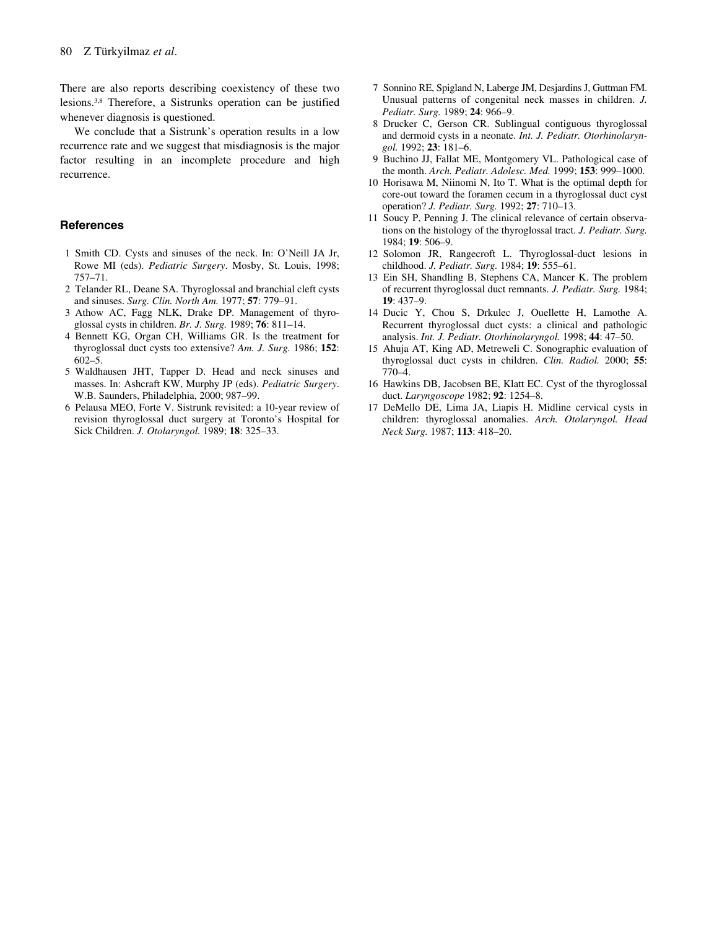There are also reports describing coexistency of these two lesions.3,8 Therefore, a Sistrunks operation can be justified whenever diagnosis is questioned.

We conclude that a Sistrunk's operation results in a low recurrence rate and we suggest that misdiagnosis is the major factor resulting in an incomplete procedure and high recurrence.

#### **References**

- 1 Smith CD. Cysts and sinuses of the neck. In: O'Neill JA Jr, Rowe MI (eds). *Pediatric Surgery*. Mosby, St. Louis, 1998; 757–71.
- 2 Telander RL, Deane SA. Thyroglossal and branchial cleft cysts and sinuses. *Surg. Clin. North Am.* 1977; **57**: 779–91.
- 3 Athow AC, Fagg NLK, Drake DP. Management of thyroglossal cysts in children. *Br. J. Surg.* 1989; **76**: 811–14.
- 4 Bennett KG, Organ CH, Williams GR. Is the treatment for thyroglossal duct cysts too extensive? *Am. J. Surg.* 1986; **152**: 602–5.
- 5 Waldhausen JHT, Tapper D. Head and neck sinuses and masses. In: Ashcraft KW, Murphy JP (eds). *Pediatric Surgery*. W.B. Saunders, Philadelphia, 2000; 987–99.
- 6 Pelausa MEO, Forte V. Sistrunk revisited: a 10-year review of revision thyroglossal duct surgery at Toronto's Hospital for Sick Children. *J. Otolaryngol.* 1989; **18**: 325–33.
- 7 Sonnino RE, Spigland N, Laberge JM, Desjardins J, Guttman FM. Unusual patterns of congenital neck masses in children. *J. Pediatr. Surg.* 1989; **24**: 966–9.
- 8 Drucker C, Gerson CR. Sublingual contiguous thyroglossal and dermoid cysts in a neonate. *Int. J. Pediatr. Otorhinolaryngol.* 1992; **23**: 181–6.
- 9 Buchino JJ, Fallat ME, Montgomery VL. Pathological case of the month. *Arch. Pediatr. Adolesc. Med.* 1999; **153**: 999–1000.
- 10 Horisawa M, Niinomi N, Ito T. What is the optimal depth for core-out toward the foramen cecum in a thyroglossal duct cyst operation? *J. Pediatr. Surg.* 1992; **27**: 710–13.
- 11 Soucy P, Penning J. The clinical relevance of certain observations on the histology of the thyroglossal tract. *J. Pediatr. Surg.* 1984; **19**: 506–9.
- 12 Solomon JR, Rangecroft L. Thyroglossal-duct lesions in childhood. *J. Pediatr. Surg.* 1984; **19**: 555–61.
- 13 Ein SH, Shandling B, Stephens CA, Mancer K. The problem of recurrent thyroglossal duct remnants. *J. Pediatr. Surg.* 1984; **19**: 437–9.
- 14 Ducic Y, Chou S, Drkulec J, Ouellette H, Lamothe A. Recurrent thyroglossal duct cysts: a clinical and pathologic analysis. *Int. J. Pediatr. Otorhinolaryngol.* 1998; **44**: 47–50.
- 15 Ahuja AT, King AD, Metreweli C. Sonographic evaluation of thyroglossal duct cysts in children. *Clin. Radiol.* 2000; **55**: 770–4.
- 16 Hawkins DB, Jacobsen BE, Klatt EC. Cyst of the thyroglossal duct. *Laryngoscope* 1982; **92**: 1254–8.
- 17 DeMello DE, Lima JA, Liapis H. Midline cervical cysts in children: thyroglossal anomalies. *Arch. Otolaryngol. Head Neck Surg.* 1987; **113**: 418–20.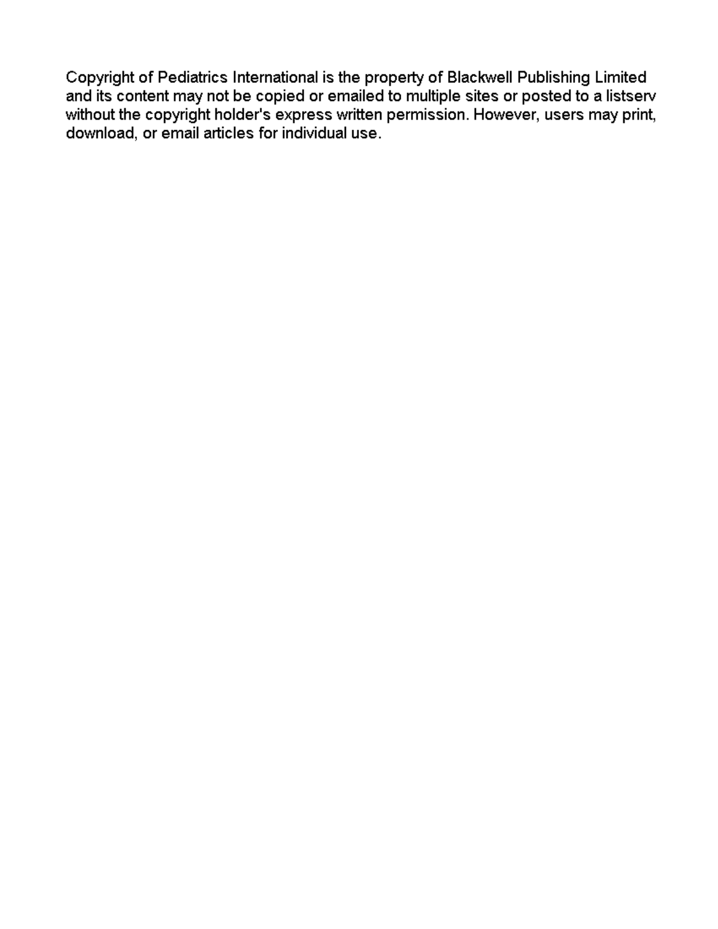Copyright of Pediatrics International is the property of Blackwell Publishing Limited and its content may not be copied or emailed to multiple sites or posted to a listserv without the copyright holder's express written permission. However, users may print, download, or email articles for individual use.